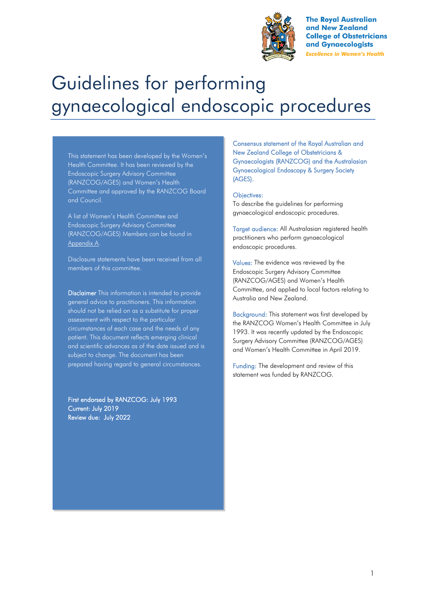

**The Royal Australian** and New Zealand **College of Obstetricians** and Gynaecologists **Excellence in Women's Health** 

# Guidelines for performing gynaecological endoscopic procedures

This statement has been developed by the Women's Health Committee. It has been reviewed by the Endoscopic Surgery Advisory Committee (RANZCOG/AGES) and Women's Health Committee and approved by the RANZCOG Board and Council.

A list of Women's Health Committee and Endoscopic Surgery Advisory Committee (RANZCOG/AGES) Members can be found in Appendix A.

Disclosure statements have been received from all members of this committee.

Disclaimer This information is intended to provide general advice to practitioners. This information should not be relied on as a substitute for proper assessment with respect to the particular circumstances of each case and the needs of any patient. This document reflects emerging clinical and scientific advances as of the date issued and is subject to change. The document has been prepared having regard to general circumstances.

First endorsed by RANZCOG: July 1993 Current: July 2019 Review due: July 2022

Consensus statement of the Royal Australian and New Zealand College of Obstetricians & Gynaecologists (RANZCOG) and the Australasian Gynaecological Endoscopy & Surgery Society (AGES).

#### Objectives:

To describe the guidelines for performing gynaecological endoscopic procedures.

Target audience: All Australasian registered health practitioners who perform gynaecological endoscopic procedures.

Values: The evidence was reviewed by the Endoscopic Surgery Advisory Committee (RANZCOG/AGES) and Women's Health Committee, and applied to local factors relating to Australia and New Zealand.

Background: This statement was first developed by the RANZCOG Women's Health Committee in July 1993. It was recently updated by the Endoscopic Surgery Advisory Committee (RANZCOG/AGES) and Women's Health Committee in April 2019.

Funding: The development and review of this statement was funded by RANZCOG.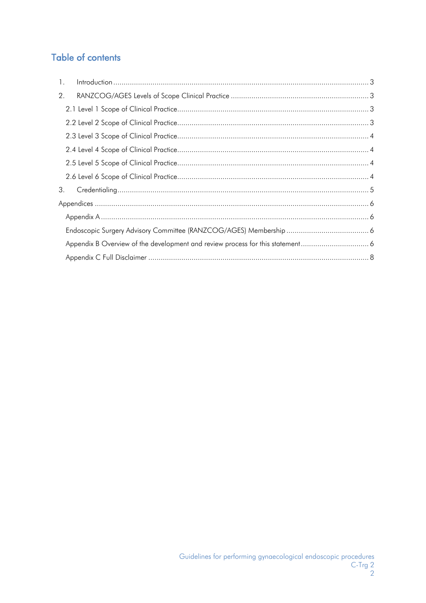# **Table of contents**

| $\mathbf{1}$ . |  |  |  |  |
|----------------|--|--|--|--|
| 2.             |  |  |  |  |
|                |  |  |  |  |
|                |  |  |  |  |
|                |  |  |  |  |
|                |  |  |  |  |
|                |  |  |  |  |
|                |  |  |  |  |
| 3.             |  |  |  |  |
|                |  |  |  |  |
|                |  |  |  |  |
|                |  |  |  |  |
|                |  |  |  |  |
|                |  |  |  |  |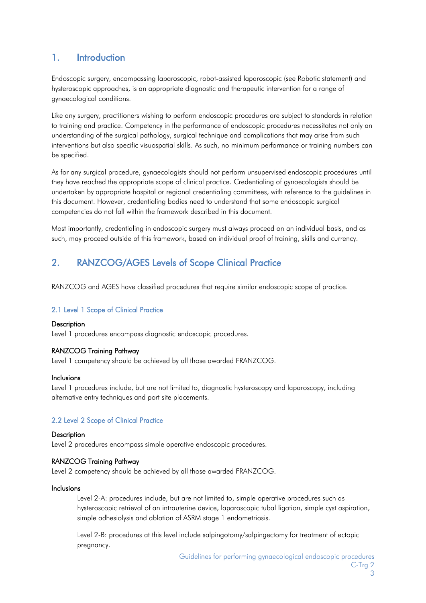# <span id="page-2-0"></span>1. Introduction

Endoscopic surgery, encompassing laparoscopic, robot-assisted laparoscopic (see Robotic statement) and hysteroscopic approaches, is an appropriate diagnostic and therapeutic intervention for a range of gynaecological conditions.

Like any surgery, practitioners wishing to perform endoscopic procedures are subject to standards in relation to training and practice. Competency in the performance of endoscopic procedures necessitates not only an understanding of the surgical pathology, surgical technique and complications that may arise from such interventions but also specific visuospatial skills. As such, no minimum performance or training numbers can be specified.

As for any surgical procedure, gynaecologists should not perform unsupervised endoscopic procedures until they have reached the appropriate scope of clinical practice. Credentialing of gynaecologists should be undertaken by appropriate hospital or regional credentialing committees, with reference to the guidelines in this document. However, credentialing bodies need to understand that some endoscopic surgical competencies do not fall within the framework described in this document.

Most importantly, credentialing in endoscopic surgery must always proceed on an individual basis, and as such, may proceed outside of this framework, based on individual proof of training, skills and currency.

# <span id="page-2-1"></span>2. RANZCOG/AGES Levels of Scope Clinical Practice

RANZCOG and AGES have classified procedures that require similar endoscopic scope of practice.

# <span id="page-2-2"></span>2.1 Level 1 Scope of Clinical Practice

#### **Description**

Level 1 procedures encompass diagnostic endoscopic procedures.

# RANZCOG Training Pathway

Level 1 competency should be achieved by all those awarded FRANZCOG.

#### Inclusions

Level 1 procedures include, but are not limited to, diagnostic hysteroscopy and laparoscopy, including alternative entry techniques and port site placements.

# <span id="page-2-3"></span>2.2 Level 2 Scope of Clinical Practice

#### **Description**

Level 2 procedures encompass simple operative endoscopic procedures.

#### RANZCOG Training Pathway

Level 2 competency should be achieved by all those awarded FRANZCOG.

#### Inclusions

Level 2-A: procedures include, but are not limited to, simple operative procedures such as hysteroscopic retrieval of an intrauterine device, laparoscopic tubal ligation, simple cyst aspiration, simple adhesiolysis and ablation of ASRM stage 1 endometriosis.

Level 2-B: procedures at this level include salpingotomy/salpingectomy for treatment of ectopic pregnancy.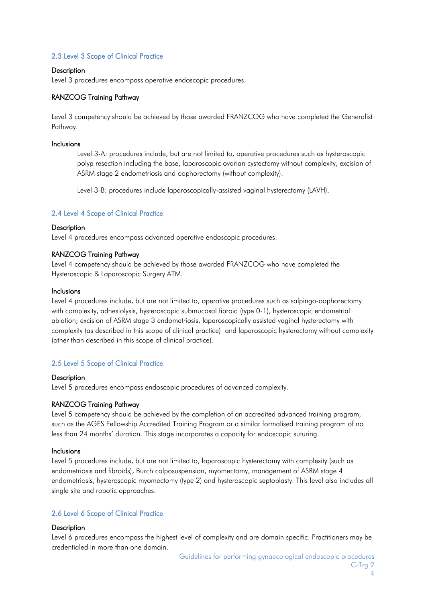# <span id="page-3-0"></span>2.3 Level 3 Scope of Clinical Practice

### **Description**

Level 3 procedures encompass operative endoscopic procedures.

### RANZCOG Training Pathway

Level 3 competency should be achieved by those awarded FRANZCOG who have completed the Generalist Pathway.

#### Inclusions

Level 3-A: procedures include, but are not limited to, operative procedures such as hysteroscopic polyp resection including the base, laparoscopic ovarian cystectomy without complexity, excision of ASRM stage 2 endometriosis and oophorectomy (without complexity).

Level 3-B: procedures include laparoscopically-assisted vaginal hysterectomy (LAVH).

#### <span id="page-3-1"></span>2.4 Level 4 Scope of Clinical Practice

#### **Description**

Level 4 procedures encompass advanced operative endoscopic procedures.

#### RANZCOG Training Pathway

Level 4 competency should be achieved by those awarded FRANZCOG who have completed the Hysteroscopic & Laparoscopic Surgery ATM.

#### Inclusions

Level 4 procedures include, but are not limited to, operative procedures such as salpingo-oophorectomy with complexity, adhesiolysis, hysteroscopic submucosal fibroid (type 0-1), hysteroscopic endometrial ablation; excision of ASRM stage 3 endometriosis, laparoscopically assisted vaginal hysterectomy with complexity (as described in this scope of clinical practice) and laparoscopic hysterectomy without complexity (other than described in this scope of clinical practice).

# <span id="page-3-2"></span>2.5 Level 5 Scope of Clinical Practice

#### **Description**

Level 5 procedures encompass endoscopic procedures of advanced complexity.

### RANZCOG Training Pathway

Level 5 competency should be achieved by the completion of an accredited advanced training program, such as the AGES Fellowship Accredited Training Program or a similar formalised training program of no less than 24 months' duration. This stage incorporates a capacity for endoscopic suturing.

#### Inclusions

Level 5 procedures include, but are not limited to, laparoscopic hysterectomy with complexity (such as endometriosis and fibroids), Burch colposuspension, myomectomy, management of ASRM stage 4 endometriosis, hysteroscopic myomectomy (type 2) and hysteroscopic septoplasty. This level also includes all single site and robotic approaches.

# <span id="page-3-3"></span>2.6 Level 6 Scope of Clinical Practice

#### **Description**

Level 6 procedures encompass the highest level of complexity and are domain specific. Practitioners may be credentialed in more than one domain.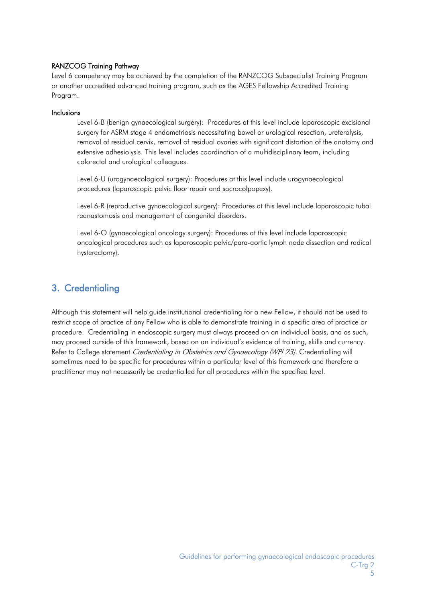# RANZCOG Training Pathway

Level 6 competency may be achieved by the completion of the RANZCOG Subspecialist Training Program or another accredited advanced training program, such as the AGES Fellowship Accredited Training Program.

# Inclusions

Level 6-B (benign gynaecological surgery): Procedures at this level include laparoscopic excisional surgery for ASRM stage 4 endometriosis necessitating bowel or urological resection, ureterolysis, removal of residual cervix, removal of residual ovaries with significant distortion of the anatomy and extensive adhesiolysis. This level includes coordination of a multidisciplinary team, including colorectal and urological colleagues.

Level 6-U (urogynaecological surgery): Procedures at this level include urogynaecological procedures (laparoscopic pelvic floor repair and sacrocolpopexy).

Level 6-R (reproductive gynaecological surgery): Procedures at this level include laparoscopic tubal reanastomosis and management of congenital disorders.

Level 6-O (gynaecological oncology surgery): Procedures at this level include laparoscopic oncological procedures such as laparoscopic pelvic/para-aortic lymph node dissection and radical hysterectomy).

# <span id="page-4-0"></span>3. Credentialing

<span id="page-4-1"></span>Although this statement will help guide institutional credentialing for a new Fellow, it should not be used to restrict scope of practice of any Fellow who is able to demonstrate training in a specific area of practice or procedure. Credentialing in endoscopic surgery must always proceed on an individual basis, and as such, may proceed outside of this framework, based on an individual's evidence of training, skills and currency. Refer to College statement *Credentialing in Obstetrics and Gynaecology (WPI 23)*. Credentialling will sometimes need to be specific for procedures within a particular level of this framework and therefore a practitioner may not necessarily be credentialled for all procedures within the specified level.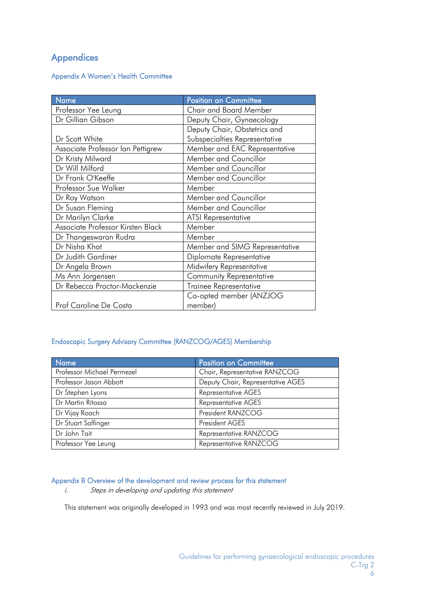# Appendices

# <span id="page-5-0"></span>Appendix A Women's Health Committee

<span id="page-5-1"></span>

| <b>Name</b>                       | <b>Position on Committee</b>   |
|-----------------------------------|--------------------------------|
| Professor Yee Leung               | <b>Chair and Board Member</b>  |
| Dr Gillian Gibson                 | Deputy Chair, Gynaecology      |
|                                   | Deputy Chair, Obstetrics and   |
| Dr Scott White                    | Subspecialties Representative  |
| Associate Professor Ian Pettigrew | Member and EAC Representative  |
| Dr Kristy Milward                 | Member and Councillor          |
| Dr Will Milford                   | Member and Councillor          |
| Dr Frank O'Keeffe                 | Member and Councillor          |
| Professor Sue Walker              | Member                         |
| Dr Roy Watson                     | Member and Councillor          |
| Dr Susan Fleming                  | Member and Councillor          |
| Dr Marilyn Clarke                 | <b>ATSI Representative</b>     |
| Associate Professor Kirsten Black | Member                         |
| Dr Thangeswaran Rudra             | Member                         |
| Dr Nisha Khot                     | Member and SIMG Representative |
| Dr Judith Gardiner                | Diplomate Representative       |
| Dr Angela Brown                   | Midwifery Representative       |
| Ms Ann Jorgensen                  | Community Representative       |
| Dr Rebecca Proctor-Mackenzie      | Trainee Representative         |
|                                   | Co-opted member (ANZJOG        |
| Prof Caroline De Costa            | member)                        |

# Endoscopic Surgery Advisory Committee (RANZCOG/AGES) Membership

| <b>Name</b>                | <b>Position on Committee</b>      |
|----------------------------|-----------------------------------|
| Professor Michael Permezel | Chair, Representative RANZCOG     |
| Professor Jason Abbott     | Deputy Chair, Representative AGES |
| Dr Stephen Lyons           | <b>Representative AGES</b>        |
| Dr Martin Ritossa          | <b>Representative AGES</b>        |
| Dr Vijay Roach             | President RANZCOG                 |
| Dr Stuart Salfinger        | President AGES                    |
| Dr John Tait               | Representative RANZCOG            |
| Professor Yee Leung        | Representative RANZCOG            |

# <span id="page-5-2"></span>Appendix B Overview of the development and review process for this statement

i. Steps in developing and updating this statement

This statement was originally developed in 1993 and was most recently reviewed in July 2019.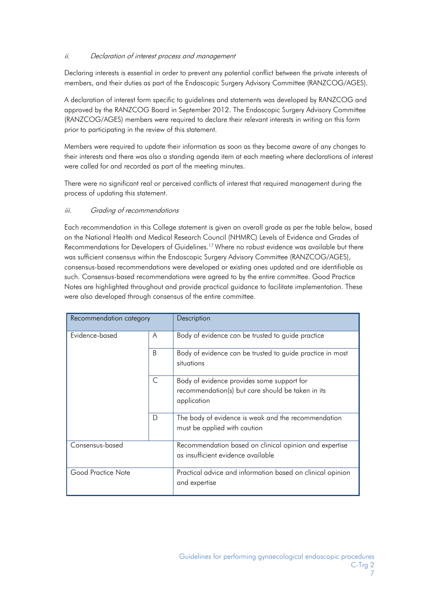# ii. Declaration of interest process and management

Declaring interests is essential in order to prevent any potential conflict between the private interests of members, and their duties as part of the Endoscopic Surgery Advisory Committee (RANZCOG/AGES).

A declaration of interest form specific to guidelines and statements was developed by RANZCOG and approved by the RANZCOG Board in September 2012. The Endoscopic Surgery Advisory Committee (RANZCOG/AGES) members were required to declare their relevant interests in writing on this form prior to participating in the review of this statement.

Members were required to update their information as soon as they become aware of any changes to their interests and there was also a standing agenda item at each meeting where declarations of interest were called for and recorded as part of the meeting minutes.

There were no significant real or perceived conflicts of interest that required management during the process of updating this statement.

# iii. Grading of recommendations

Each recommendation in this College statement is given an overall grade as per the table below, based on the National Health and Medical Research Council (NHMRC) Levels of Evidence and Grades of Recommendations for Developers of Guidelines.<sup>17</sup> Where no robust evidence was available but there was sufficient consensus within the Endoscopic Surgery Advisory Committee (RANZCOG/AGES), consensus-based recommendations were developed or existing ones updated and are identifiable as such. Consensus-based recommendations were agreed to by the entire committee. Good Practice Notes are highlighted throughout and provide practical guidance to facilitate implementation. These were also developed through consensus of the entire committee.

| Recommendation category |              | Description                                                                                                    |
|-------------------------|--------------|----------------------------------------------------------------------------------------------------------------|
| Evidence-based          | A            | Body of evidence can be trusted to guide practice                                                              |
|                         | <sub>B</sub> | Body of evidence can be trusted to guide practice in most<br>situations                                        |
|                         | C            | Body of evidence provides some support for<br>recommendation(s) but care should be taken in its<br>application |
|                         | D            | The body of evidence is weak and the recommendation<br>must be applied with caution                            |
| Consensus-based         |              | Recommendation based on clinical opinion and expertise<br>as insufficient evidence available                   |
| Good Practice Note      |              | Practical advice and information based on clinical opinion<br>and expertise                                    |